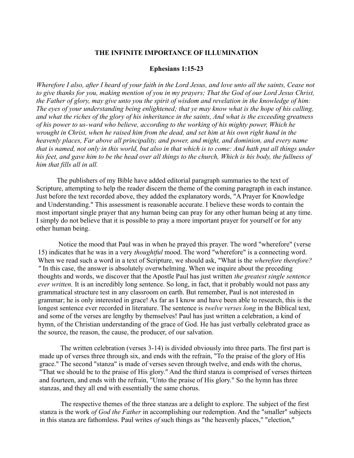### **THE INFINITE IMPORTANCE OF ILLUMINATION**

#### **Ephesians 1:15-23**

*Wherefore I also, after I heard of your faith in the Lord Jesus, and love unto all the saints, Cease not to give thanks for you, making mention of you in my prayers; That the God of our Lord Jesus Christ, the Father of glory, may give unto you the spirit of wisdom and revelation in the knowledge of him: The eyes of your understanding being enlightened; that ye may know what is the hope of his calling, and what the riches of the glory of his inheritance in the saints, And what is the exceeding greatness of his power to us-ward who believe, according to the working of his mighty power, Which he wrought in Christ, when he raised him from the dead, and set him at his own right hand in the heavenly places, Far above all principality, and power, and might, and dominion, and every name that is named, not only in this world, but also in that which is to come: And hath put all things under his feet, and gave him to be the head over all things to the church, Which is his body, the fullness of him that fills all in all.*

The publishers of my Bible have added editorial paragraph summaries to the text of Scripture, attempting to help the reader discern the theme of the coming paragraph in each instance. Just before the text recorded above, they added the explanatory words, "A Prayer for Knowledge and Understanding." This assessment is reasonable accurate. I believe these words to contain the most important single prayer that any human being can pray for any other human being at any time. I simply do not believe that it is possible to pray a more important prayer for yourself or for any other human being.

Notice the mood that Paul was in when he prayed this prayer. The word "wherefore" (verse 15) indicates that he was in a very *thoughtful* mood. The word "wherefore" is a connecting word. When we read such a word in a text of Scripture, we should ask, "What is the *wherefore therefore? "* In this case, the answer is absolutely overwhelming. When we inquire about the preceding thoughts and words, we discover that the Apostle Paul has just written *the greatest single sentence ever written.* It is an incredibly long sentence. So long, in fact, that it probably would not pass any grammatical structure test in any classroom on earth. But remember, Paul is not interested in grammar; he is only interested in grace! As far as I know and have been able to research, this is the longest sentence ever recorded in literature. The sentence is *twelve verses long* in the Biblical text, and some of the verses are lengthy by themselves! Paul has just written a celebration, a kind of hymn, of the Christian understanding of the grace of God. He has just verbally celebrated grace as the source, the reason, the cause, the producer, of our salvation.

The written celebration (verses 3-14) is divided obviously into three parts. The first part is made up of verses three through six, and ends with the refrain, "To the praise of the glory of His grace." The second "stanza" is made of verses seven through twelve, and ends with the chorus, "That we should be to the praise of His glory." And the third stanza is comprised of verses thirteen and fourteen, and ends with the refrain, "Unto the praise of His glory." So the hymn has three stanzas, and they all end with essentially the same chorus.

The respective themes of the three stanzas are a delight to explore. The subject of the first stanza is the work *of God the Father* in accomplishing our redemption. And the "smaller" subjects in this stanza are fathomless. Paul writes *of* such things as "the heavenly places," "election,"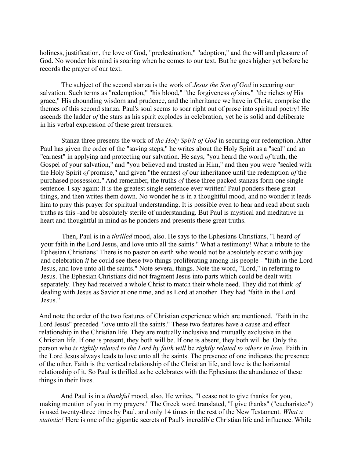holiness, justification, the love of God, "predestination," "adoption," and the will and pleasure of God. No wonder his mind is soaring when he comes to our text. But he goes higher yet before he records the prayer of our text.

The subject of the second stanza is the work of *Jesus the Son of God* in securing our salvation. Such terms as "redemption," "his blood," "the forgiveness *of* sins," "the riches *of* His grace," His abounding wisdom and prudence, and the inheritance we have in Christ, comprise the themes of this second stanza. Paul's soul seems to soar right out of prose into spiritual poetry! He ascends the ladder *of* the stars as his spirit explodes in celebration, yet he is solid and deliberate in his verbal expression of these great treasures.

Stanza three presents the work of *the Holy Spirit of God* in securing our redemption. After Paul has given the order of the "saving steps," he writes about the Holy Spirit as a "seal" and an "earnest" in applying and protecting our salvation. He says, "you heard the word *of* truth, the Gospel of your salvation," and "you believed and trusted in Him," and then you were "sealed with the Holy Spirit *of* promise," and given "the earnest *of* our inheritance until the redemption *of* the purchased possession." And remember, the truths *of* these three packed stanzas form one single sentence. I say again: It is the greatest single sentence ever written! Paul ponders these great things, and then writes them down. No wonder he is in a thoughtful mood, and no wonder it leads him to pray this prayer for spiritual understanding. It is possible even to hear and read about such truths as this -and be absolutely sterile of understanding. But Paul is mystical and meditative in heart and thoughtful in mind as he ponders and presents these great truths.

Then, Paul is in a *thrilled* mood, also. He says to the Ephesians Christians, "I heard *of* your faith in the Lord Jesus, and love unto all the saints." What a testimony! What a tribute to the Ephesian Christians! There is no pastor on earth who would not be absolutely ecstatic with joy and celebration *if* he could see these two things proliferating among his people - "faith in the Lord Jesus, and love unto all the saints." Note several things. Note the word, "Lord," in referring to Jesus. The Ephesian Christians did not fragment Jesus into parts which could be dealt with separately. They had received a whole Christ to match their whole need. They did not think *of* dealing with Jesus as Savior at one time, and as Lord at another. They had "faith in the Lord Jesus."

And note the order of the two features of Christian experience which are mentioned. "Faith in the Lord Jesus" preceded "love unto all the saints." These two features have a cause and effect relationship in the Christian life. They are mutually inclusive and mutually exclusive in the Christian life. If one is present, they both will be. If one is absent, they both will be. Only the person who *is rightly related to the Lord by faith will* be *rightly related to others in love.* Faith in the Lord Jesus always leads to love unto all the saints. The presence of one indicates the presence of the other. Faith is the vertical relationship of the Christian life, and love is the horizontal relationship of it. So Paul is thrilled as he celebrates with the Ephesians the abundance of these things in their lives.

And Paul is in a *thankful* mood, also. He writes, "I cease not to give thanks for you, making mention of you in my prayers." The Greek word translated, "I give thanks" ("eucharisteo") is used twenty-three times by Paul, and only 14 times in the rest of the New Testament. *What a statistic!* Here is one of the gigantic secrets of Paul's incredible Christian life and influence. While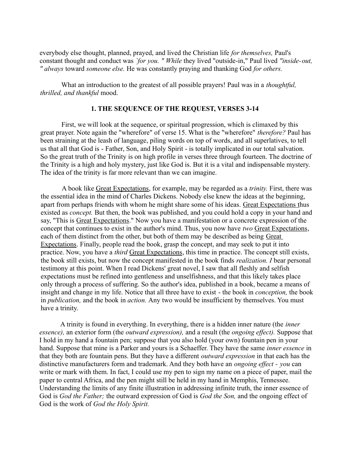everybody else thought, planned, prayed, and lived the Christian life *for themselves,* Paul's constant thought and conduct was *`for you. " While* they lived "outside-in," Paul lived *"inside-out, " always* toward *someone else.* He was constantly praying and thanking God *for others.*

What an introduction to the greatest of all possible prayers! Paul was in a *thoughtful, thrilled, and thankful* mood.

## **1. THE SEQUENCE OF THE REQUEST, VERSES 3-14**

First, we will look at the sequence, or spiritual progression, which is climaxed by this great prayer. Note again the "wherefore" of verse 15. What is the "wherefore" *therefore?* Paul has been straining at the leash of language, piling words on top of words, and all superlatives, to tell us that all that God is - Father, Son, and Holy Spirit - is totally implicated in our total salvation. So the great truth of the Trinity is on high profile in verses three through fourteen. The doctrine of the Trinity is a high and holy mystery, just like God is. But it is a vital and indispensable mystery. The idea of the trinity is far more relevant than we can imagine.

A book like Great Expectations, for example, may be regarded as a *trinity.* First, there was the essential idea in the mind of Charles Dickens. Nobody else knew the ideas at the beginning, apart from perhaps friends with whom he might share some of his ideas. Great Expectations thus existed as *concept*. But then, the book was published, and you could hold a copy in your hand and say, "This is Great Expectations." Now you have a manifestation or a concrete expression of the concept that continues to exist in the author's mind. Thus, you now have *two* Great Expectations, each of them distinct from the other, but both of them may be described as being Great Expectations. Finally, people read the book, grasp the concept, and may seek to put it into practice. Now, you have a *third* Great Expectations, this time in practice. The concept still exists, the book still exists, but now the concept manifested in the book finds *realization. I* bear personal testimony at this point. When I read Dickens' great novel, I saw that all fleshly and selfish expectations must be refined into gentleness and unselfishness, and that this likely takes place only through a process of suffering. So the author's idea, published in a book, became a means of insight and change in my life. Notice that all three have to exist - the book in *conception,* the book in *publication,* and the book in *action.* Any two would be insufficient by themselves. You must have a trinity.

A trinity is found in everything. In everything, there is a hidden inner nature (the *inner essence),* an exterior form (the *outward expression),* and a result (the *ongoing effect).* Suppose that I hold in my hand a fountain pen; suppose that you also hold (your own) fountain pen in your hand. Suppose that mine is a Parker and yours is a Schaeffer. They have the same *inner essence* in that they both are fountain pens. But they have a different *outward expression* in that each has the distinctive manufacturers form and trademark. And they both have an *ongoing effect - you* can write or mark with them. In fact, I could use my pen to sign my name on a piece of paper, mail the paper to central Africa, and the pen might still be held in my hand in Memphis, Tennessee. Understanding the limits of any finite illustration in addressing infinite truth, the inner essence of God is *God the Father;* the outward expression of God is *God the Son,* and the ongoing effect of God is the work of *God the Holy Spirit.*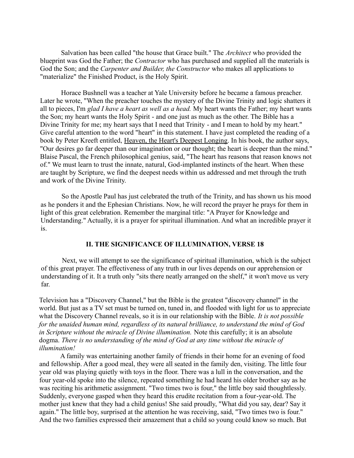Salvation has been called "the house that Grace built." The *Architect* who provided the blueprint was God the Father; the *Contractor* who has purchased and supplied all the materials is God the Son; and the *Carpenter and Builder, the Constructor* who makes all applications to "materialize" the Finished Product, is the Holy Spirit.

Horace Bushnell was a teacher at Yale University before he became a famous preacher. Later he wrote, "When the preacher touches the mystery of the Divine Trinity and logic shatters it all to pieces, I'm *glad I have a heart as well as a head.* My heart wants the Father; my heart wants the Son; my heart wants the Holy Spirit - and one just as much as the other. The Bible has a Divine Trinity for me; my heart says that I need that Trinity - and I mean to hold by my heart." Give careful attention to the word "heart" in this statement. I have just completed the reading of a book by Peter Kreeft entitled, Heaven, the Heart's Deepest Longing. In his book, the author says, "Our desires go far deeper than our imagination or our thought; the heart is deeper than the mind." Blaise Pascal, the French philosophical genius, said, "The heart has reasons that reason knows not of." We must learn to trust the innate, natural, God-implanted instincts of the heart. When these are taught by Scripture, we find the deepest needs within us addressed and met through the truth and work of the Divine Trinity.

So the Apostle Paul has just celebrated the truth of the Trinity, and has shown us his mood as he ponders it and the Ephesian Christians. Now, he will record the prayer he prays for them in light of this great celebration. Remember the marginal title: "A Prayer for Knowledge and Understanding." Actually, it is a prayer for spiritual illumination. And what an incredible prayer it is.

### **II. THE SIGNIFICANCE OF ILLUMINATION, VERSE 18**

Next, we will attempt to see the significance of spiritual illumination, which is the subject of this great prayer. The effectiveness of any truth in our lives depends on our apprehension or understanding of it. It a truth only "sits there neatly arranged on the shelf," it won't move us very far.

Television has a "Discovery Channel," but the Bible is the greatest "discovery channel" in the world. But just as a TV set must be turned on, tuned in, and flooded with light for us to appreciate what the Discovery Channel reveals, so it is in our relationship with the Bible. *It is not possible for the unaided human mind, regardless of its natural brilliance, to understand the mind of God in Scripture without the miracle of Divine illumination.* Note this carefully; it is an absolute dogma. *There is no understanding of the mind of God at any time without the miracle of illumination!*

A family was entertaining another family of friends in their home for an evening of food and fellowship. After a good meal, they were all seated in the family den, visiting. The little four year old was playing quietly with toys in the floor. There was a lull in the conversation, and the four year-old spoke into the silence, repeated something he had heard his older brother say as he was reciting his arithmetic assignment. "Two times two is four," the little boy said thoughtlessly. Suddenly, everyone gasped when they heard this erudite recitation from a four-year-old. The mother just knew that they had a child genius! She said proudly, "What did you say, dear? Say it again." The little boy, surprised at the attention he was receiving, said, "Two times two is four." And the two families expressed their amazement that a child so young could know so much. But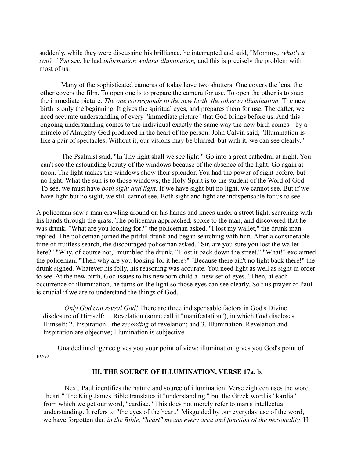suddenly, while they were discussing his brilliance, he interrupted and said, "Mommy,. *what's a two? " You* see, he had *information without illumination,* and this is precisely the problem with most of us.

Many of the sophisticated cameras of today have two shutters. One covers the lens, the other covers the film. To open one is to prepare the camera for use. To open the other is to snap the immediate picture. *The one corresponds to the new birth, the other to illumination.* The new birth is only the beginning. It gives the spiritual eyes, and prepares them for use. Thereafter, we need accurate understanding of every "immediate picture" that God brings before us. And this ongoing understanding comes to the individual exactly the same way the new birth comes - by a miracle of Almighty God produced in the heart of the person. John Calvin said, "Illumination is like a pair of spectacles. Without it, our visions may be blurred, but with it, we can see clearly."

The Psalmist said, "In Thy light shall we see light." Go into a great cathedral at night. You can't see the astounding beauty of the windows because of the absence of the light. Go again at noon. The light makes the windows show their splendor. You had the power of sight before, but no light. What the sun is to those windows, the Holy Spirit is to the student of the Word of God. To see, we must have *both sight and light.* If we have sight but no light, we cannot see. But if we have light but no sight, we still cannot see. Both sight and light are indispensable for us to see.

A policeman saw a man crawling around on his hands and knees under a street light, searching with his hands through the grass. The policeman approached, spoke to the man, and discovered that he was drunk. "What are you looking for?" the policeman asked. "I lost my wallet," the drunk man replied. The policeman joined the pitiful drunk and began searching with him. After a considerable time of fruitless search, the discouraged policeman asked, "Sir, are you sure you lost the wallet here?" "Why, of course not," mumbled the drunk. "I lost it back down the street." "What!" exclaimed the policeman, "Then why are you looking for it here?" "Because there ain't no light back there!" the drunk sighed. Whatever his folly, his reasoning was accurate. You need light as well as sight in order to see. At the new birth, God issues to his newborn child a "new set of eyes." Then, at each occurrence of illumination, he turns on the light so those eyes can see clearly. So this prayer of Paul is crucial if we are to understand the things of God.

*Only God can reveal God!* There are three indispensable factors in God's Divine disclosure of Himself: 1. Revelation (some call it "manifestation"), in which God discloses Himself; 2. Inspiration - the *recording* of revelation; and 3. Illumination. Revelation and Inspiration are objective; Illumination is subjective.

Unaided intelligence gives you your point of view; illumination gives you God's point of *view.*

# **III. THE SOURCE OF ILLUMINATION, VERSE 17a, b.**

Next, Paul identifies the nature and source of illumination. Verse eighteen uses the word "heart." The King James Bible translates it "understanding," but the Greek word is "kardia," from which we get our word, "cardiac." This does not merely refer to man's intellectual understanding. It refers to "the eyes of the heart." Misguided by our everyday use of the word, we have forgotten that *in the Bible, "heart" means every area and function of the personality.* H.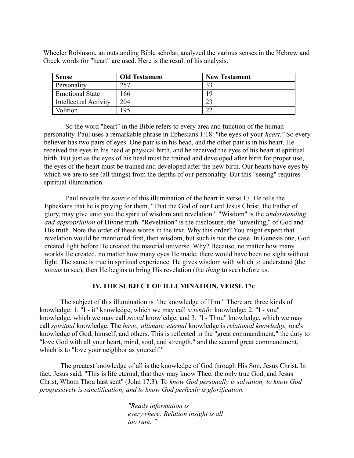Wheeler Robinson, an outstanding Bible scholar, analyzed the various senses in the Hebrew and Greek words for "heart" are used. Here is the result of his analysis.

| <b>Sense</b>           | <b>Old Testament</b> | <b>New Testament</b> |
|------------------------|----------------------|----------------------|
| Personality            | 257                  | 33                   |
| <b>Emotional State</b> | 166                  | 19                   |
| Intellectual Activity  | 204                  | ററ                   |
| Volition               | 95                   | $\cap$               |

So the word "heart" in the Bible refers to every area and function of the human personality. Paul uses a remarkable phrase in Ephesians 1:18: "the eyes of your *heart."* So every believer has two pairs of eyes. One pair is in his head, and the other pair is in his heart. He received the eyes in his head at physical birth, and he received the eyes of his heart at spiritual birth. But just as the eyes of his head must be trained and developed after birth for proper use, the eyes of the heart must be trained and developed after the new birth. Our hearts have eyes by which we are to see (all things) from the depths of our personality. But this "seeing" requires spiritual illumination.

Paul reveals the *source* of this illumination of the heart in verse 17. He tells the Ephesians that he is praying for them, "That the God of our Lord Jesus Christ, the Father of glory, may give unto you the spirit of wisdom and revelation." "Wisdom" is the *understanding and appropriation* of Divine truth. "Revelation" is the disclosure, the "unveiling," of God and His truth. Note the order of these words in the text. Why this order? You might expect that revelation would be mentioned first, then wisdom, but such is not the case. In Genesis one, God created light before He created the material universe. Why? Because, no matter how many worlds He created, no matter how many eyes He made, there would have been no sight without light. The same is true in spiritual experience. He gives wisdom with which to understand (the *means* to see), then He begins to bring His revelation (the *thing* to see) before us.

# **IV. THE SUBJECT OF ILLUMINATION, VERSE 17c**

The subject of this illumination is "the knowledge of Him." There are three kinds of knowledge: 1. "I - it" knowledge, which we may call *scientific* knowledge; 2. "I - you" knowledge, which we may call *social* knowledge; and 3. "I - Thou" knowledge, which we may call *spiritual* knowledge. The *basic, ultimate, eternal* knowledge is *relational knowledge,* one's knowledge of God, himself, and others. This is reflected in the "great commandment," the duty to "love God with all your heart, mind, soul, and strength," and the second great commandment, which is to "love your neighbor as yourself."

The greatest knowledge of all is the knowledge of God through His Son, Jesus Christ. In fact, Jesus said, "This is life eternal, that they may know Thee, the only true God, and Jesus Christ, Whom Thou hast sent" (John 17:3). To *know God personally is salvation; to know God progressively is sanctification; and to know God perfectly is glorification.*

> *"Ready information is everywhere; Relation insight is all too rare. "*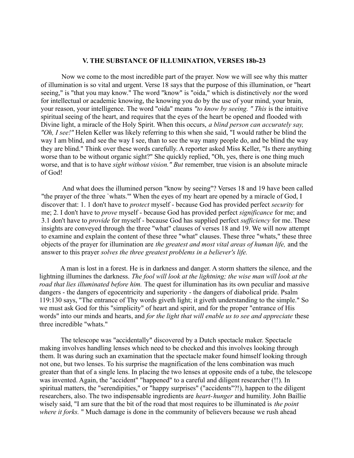### **V. THE SUBSTANCE OF ILLUMINATION, VERSES 18b-23**

Now we come to the most incredible part of the prayer. Now we will see why this matter of illumination is so vital and urgent. Verse 18 says that the purpose of this illumination, or "heart seeing," is "that you may know." The word "know" is "oida," which is distinctively *not* the word for intellectual or academic knowing, the knowing you do by the use of your mind, your brain, your reason, your intelligence. The word "oida" means *"to know by seeing. " This* is the intuitive spiritual seeing of the heart, and requires that the eyes of the heart be opened and flooded with Divine light, a miracle of the Holy Spirit. When this occurs, *a blind person can accurately say, "Oh, I see!"* Helen Keller was likely referring to this when she said, "I would rather be blind the way I am blind, and see the way I see, than to see the way many people do, and be blind the way they are blind." Think over these words carefully. A reporter asked Miss Keller, "Is there anything worse than to be without organic sight?" She quickly replied, "Oh, yes, there is one thing much worse, and that is to have *sight without vision." But* remember, true vision is an absolute miracle of God!

And what does the illumined person "know by seeing"? Verses 18 and 19 have been called "the prayer of the three `whats."' When the eyes of my heart are opened by a miracle of God, I discover that: 1. 1 don't have to *protect* myself - because God has provided perfect *security* for me; 2. I don't have to *prove* myself - because God has provided perfect *significance* for me; and 3.1 don't have to *provide* for myself - because God has supplied perfect *sufficiency* for me. These insights are conveyed through the three "what" clauses of verses 18 and 19. We will now attempt to examine and explain the content of these three "what" clauses. These three "whats," these three objects of the prayer for illumination are *the greatest and most vital areas of human life,* and the answer to this prayer *solves the three greatest problems in a believer's life.*

A man is lost in a forest. He is in darkness and danger. A storm shatters the silence, and the lightning illumines the darkness. *The fool will look at the lightning; the wise man will look at the road that lies illuminated before him.* The quest for illumination has its own peculiar and massive dangers - the dangers of egocentricity and superiority - the dangers of diabolical pride. Psalm 119:130 says, "The entrance of Thy words giveth light; it giveth understanding to the simple." So we must ask God for this "simplicity" of heart and spirit, and for the proper "entrance of His words" into our minds and hearts, and *for the light that will enable us to see and appreciate* these three incredible "whats."

The telescope was "accidentally" discovered by a Dutch spectacle maker. Spectacle making involves handling lenses which need to be checked and this involves looking through them. It was during such an examination that the spectacle maker found himself looking through not one, but two lenses. To his surprise the magnification of the lens combination was much greater than that of a single lens. In placing the two lenses at opposite ends of a tube, the telescope was invented. Again, the "accident" "happened" to a careful and diligent researcher (!!). In spiritual matters, the "serendipities," or "happy surprises" ("accidents"?!), happen to the diligent researchers, also. The two indispensable ingredients are *heart-hunger* and humility. John Baillie wisely said, "I am sure that the bit of the road that most requires to be illuminated is *the point where it forks.* " Much damage is done in the community of believers because we rush ahead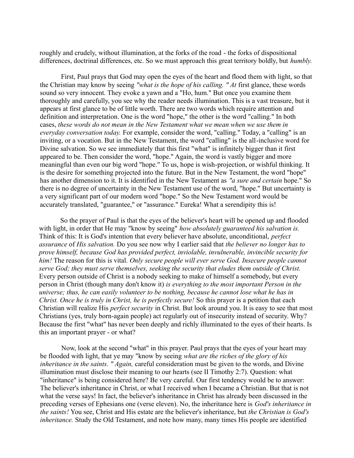roughly and crudely, without illumination, at the forks of the road - the forks of dispositional differences, doctrinal differences, etc. So we must approach this great territory boldly, but *humbly.*

First, Paul prays that God may open the eyes of the heart and flood them with light, so that the Christian may know by seeing *"what is the hope of his calling. " At* first glance, these words sound so very innocent. They evoke a yawn and a "Ho, hum." But once you examine them thoroughly and carefully, you see why the reader needs illumination. This is a vast treasure, but it appears at first glance to be of little worth. There are two words which require attention and definition and interpretation. One is the word "hope," the other is the word "calling." In both cases, *these words do not mean in the New Testament what we mean when we use them in everyday conversation today.* For example, consider the word, "calling." Today, a "calling" is an inviting, or a vocation. But in the New Testament, the word "calling" is the all-inclusive word for Divine salvation. So we see immediately that this first "what" is infinitely bigger than it first appeared to be. Then consider the word, "hope." Again, the word is vastly bigger and more meaningful than even our big word "hope." To us, hope is wish-projection, or wishful thinking. It is the desire for something projected into the future. But in the New Testament, the word "hope" has another dimension to it. It is identified in the New Testament as *"a sure and certain* hope." So there is no degree of uncertainty in the New Testament use of the word, "hope." But uncertainty is a very significant part of our modern word "hope." So the New Testament word would be accurately translated, "guarantee," or "assurance." Eureka! What a serendipity this is!

So the prayer of Paul is that the eyes of the believer's heart will be opened up and flooded with light, in order that He may "know by seeing" *how absolutely guaranteed his salvation is.* Think of this: It is God's intention that every believer have absolute, unconditional, *perfect assurance* of *His salvation.* Do you see now why I earlier said that *the believer no longer has to prove himself, because God has provided perfect, inviolable, invulnerable, invincible security for him!* The reason for this is vital. *Only secure people will ever serve God. Insecure people cannot serve God; they must serve themselves, seeking the security that eludes them outside of Christ.* Every person outside of Christ is a nobody seeking to make of himself a somebody, but every person in Christ (though many don't know it) *is everything to the most important Person in the universe; thus, he can easily volunteer to be nothing, because he cannot lose what he has in Christ. Once he is truly in Christ, he is perfectly secure!* So this prayer is a petition that each Christian will realize His *perfect security* in Christ. But look around you. It is easy to see that most Christians (yes, truly born-again people) act regularly out of insecurity instead of security. Why? Because the first "what" has never been deeply and richly illuminated to the eyes of their hearts. Is this an important prayer - or what?

Now, look at the second "what" in this prayer. Paul prays that the eyes of your heart may be flooded with light, that ye may "know by seeing *what are the riches of the glory of his inheritance in the saints. " Again,* careful consideration must be given to the words, and Divine illumination must disclose their meaning to our hearts (see II Timothy 2:7). Question: what "inheritance" is being considered here? Be very careful. Our first tendency would be to answer: The believer's inheritance in Christ, or what I received when I became a Christian. But that is not what the verse says! In fact, the believer's inheritance in Christ has already been discussed in the preceding verses of Ephesians one (verse eleven). No, the inheritance here is *God's inheritance in the saints!* You see, Christ and His estate are the believer's inheritance, but *the Christian is God's inheritance.* Study the Old Testament, and note how many, many times His people are identified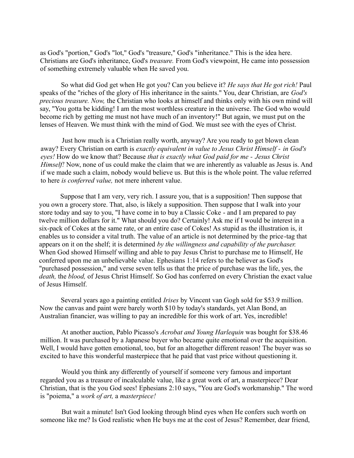as God's "portion," God's "lot," God's "treasure," God's "inheritance." This is the idea here. Christians are God's inheritance, God's *treasure.* From God's viewpoint, He came into possession of something extremely valuable when He saved you.

So what did God get when He got you? Can you believe it? *He says that He got rich!* Paul speaks of the "riches of the glory of His inheritance in the saints." You, dear Christian, are *God's precious treasure. Now,* the Christian who looks at himself and thinks only with his own mind will say, "You gotta be kidding! I am the most worthless creature in the universe. The God who would become rich by getting me must not have much of an inventory!" But again, we must put on the lenses of Heaven. We must think with the mind of God. We must see with the eyes of Christ.

Just how much is a Christian really worth, anyway? Are you ready to get blown clean away? Every Christian on earth is *exactly equivalent in value to Jesus Christ Himself - in God's eyes!* How do we know that? Because *that is exactly what God paid for me - Jesus Christ Himself!* Now, none of us could make the claim that we are inherently as valuable as Jesus is. And if we made such a claim, nobody would believe us. But this is the whole point. The value referred to here *is conferred value,* not mere inherent value.

Suppose that I am very, very rich. I assure you, that is a supposition! Then suppose that you own a grocery store. That, also, is likely a supposition. Then suppose that I walk into your store today and say to you, "I have come in to buy a Classic Coke - and I am prepared to pay twelve million dollars for it." What should you do? Certainly! Ask me if I would be interest in a six-pack of Cokes at the same rate, or an entire case of Cokes! As stupid as the illustration is, it enables us to consider a vital truth. The value of an article is not determined by the price-tag that appears on it on the shelf; it is determined *by the willingness and capability of the purchaser.* When God showed Himself willing and able to pay Jesus Christ to purchase me to Himself, He conferred upon me an unbelievable value. Ephesians 1:14 refers to the believer as God's "purchased possession," and verse seven tells us that the price of purchase was the life, yes, the *death,* the *blood,* of Jesus Christ Himself. So God has conferred on every Christian the exact value of Jesus Himself.

Several years ago a painting entitled *Irises* by Vincent van Gogh sold for \$53.9 million. Now the canvas and paint were barely worth \$10 by today's standards, yet Alan Bond, an Australian financier, was willing to pay an incredible for this work of art. Yes, incredible!

At another auction, Pablo Picasso's *Acrobat and Young Harlequin* was bought for \$38.46 million. It was purchased by a Japanese buyer who became quite emotional over the acquisition. Well, I would have gotten emotional, too, but for an altogether different reason! The buyer was so excited to have this wonderful masterpiece that he paid that vast price without questioning it.

Would you think any differently of yourself if someone very famous and important regarded you as a treasure of incalculable value, like a great work of art, a masterpiece? Dear Christian, that is the you God sees! Ephesians 2:10 says, "You are God's workmanship." The word is "poiema," a *work of art,* a *masterpiece!*

But wait a minute! Isn't God looking through blind eyes when He confers such worth on someone like me? Is God realistic when He buys me at the cost of Jesus? Remember, dear friend,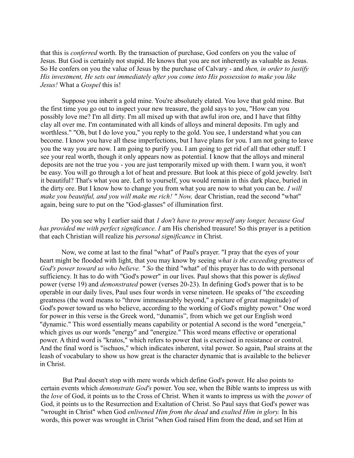that this is *conferred* worth. By the transaction of purchase, God confers on you the value of Jesus. But God is certainly not stupid. He knows that you are not inherently as valuable as Jesus. So He confers on you the value of Jesus by the purchase of Calvary - and *then, in order to justify His investment, He sets out immediately after you come into His possession to make you like Jesus!* What a *Gospel* this is!

Suppose you inherit a gold mine. You're absolutely elated. You love that gold mine. But the first time you go out to inspect your new treasure, the gold says to you, "How can you possibly love me? I'm all dirty. I'm all mixed up with that awful iron ore, and I have that filthy clay all over me. I'm contaminated with all kinds of alloys and mineral deposits. I'm ugly and worthless." "Oh, but I do love you," you reply to the gold. You see, I understand what you can become. I know you have all these imperfections, but I have plans for you. I am not going to leave you the way you are now. I am going to purify you. I am going to get rid of all that other stuff. I see your real worth, though it only appears now as potential. I know that the alloys and mineral deposits are not the true you - you are just temporarily mixed up with them. I warn you, it won't be easy. You will go through a lot of heat and pressure. But look at this piece of gold jewelry. Isn't it beautiful? That's what you are. Left to yourself, you would remain in this dark place, buried in the dirty ore. But I know how to change you from what you are now to what you can be. *I will make you beautiful, and you will make me rich! " Now, dear Christian, read the second "what"* again, being sure to put on the "God-glasses" of illumination first.

Do you see why I earlier said that *1 don't have to prove myself any longer, because God has provided me with perfect significance. I* am His cherished treasure! So this prayer is a petition that each Christian will realize his *personal significance* in Christ.

Now, we come at last to the final "what" of Paul's prayer. "I pray that the eyes of your heart might be flooded with light, that you may know by seeing *what is the exceeding greatness* of *God's power toward us who believe. " So* the third "what" of this prayer has to do with personal sufficiency. It has to do with "God's power" in our lives. Paul shows that this power is *defined* power (verse 19) and *demonstrated* power (verses 20-23). In defining God's power that is to be operable in our daily lives, Paul uses four words in verse nineteen. He speaks of "the exceeding greatness (the word means to "throw immeasurably beyond," a picture of great magnitude) of God's power toward us who believe, according to the working of God's mighty power." One word for power in this verse is the Greek word, "dunamis", from which we get our English word "dynamic." This word essentially means capability or potential A second is the word "energeia," which gives us our words "energy" and "energize." This word means effective or operational power. A third word is "kratos," which refers to power that is exercised in resistance or control. And the final word is "ischuos," which indicates inherent, vital power. So again, Paul strains at the leash of vocabulary to show us how great is the character dynamic that is available to the believer in Christ.

But Paul doesn't stop with mere words which define God's power. He also points to certain events which *demonstrate God's* power. You see, when the Bible wants to impress us with the *love* of God, it points us to the Cross of Christ. When it wants to impress us with the *power* of God, it points us to the Resurrection and Exaltation of Christ. So Paul says that God's power was "wrought in Christ" when God *enlivened Him from the dead* and *exalted Him in glory.* In his words, this power was wrought in Christ "when God raised Him from the dead, and set Him at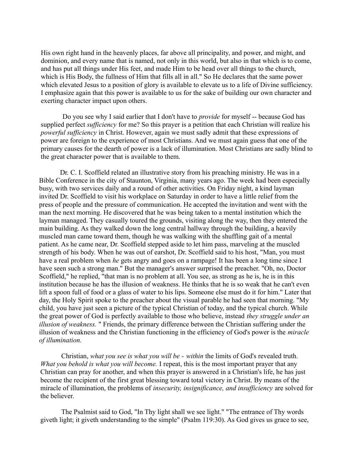His own right hand in the heavenly places, far above all principality, and power, and might, and dominion, and every name that is named, not only in this world, but also in that which is to come, and has put all things under His feet, and made Him to be head over all things to the church, which is His Body, the fullness of Him that fills all in all." So He declares that the same power which elevated Jesus to a position of glory is available to elevate us to a life of Divine sufficiency. I emphasize again that this power is available to us for the sake of building our own character and exerting character impact upon others.

Do you see why I said earlier that I don't have to *provide* for myself -- because God has supplied perfect *sufficiency* for me? So this prayer is a petition that each Christian will realize his *powerful sufficiency* in Christ. However, again we must sadly admit that these expressions of power are foreign to the experience of most Christians. And we must again guess that one of the primary causes for the dearth of power is a lack of illumination. Most Christians are sadly blind to the great character power that is available to them.

Dr. C. I. Scoffield related an illustrative story from his preaching ministry. He was in a Bible Conference in the city of Staunton, Virginia, many years ago. The week had been especially busy, with two services daily and a round of other activities. On Friday night, a kind layman invited Dr. Scoffield to visit his workplace on Saturday in order to have a little relief from the press of people and the pressure of communication. He accepted the invitation and went with the man the next morning. He discovered that he was being taken to a mental institution which the layman managed. They casually toured the grounds, visiting along the way, then they entered the main building. As they walked down the long central hallway through the building, a heavily muscled man came toward them, though he was walking with the shuffling gait of a mental patient. As he came near, Dr. Scoffield stepped aside to let him pass, marveling at the muscled strength of his body. When he was out of earshot, Dr. Scoffield said to his host, "Man, you must have a real problem when *he* gets angry and goes on a rampage! It has been a long time since I have seen such a strong man." But the manager's answer surprised the preacher. "Oh, no, Doctor Scoffield," he replied, "that man is no problem at all. You see, as strong as he is, he is in this institution because he has the illusion of weakness. He thinks that he is so weak that he can't even lift a spoon full of food or a glass of water to his lips. Someone else must do it for him." Later that day, the Holy Spirit spoke to the preacher about the visual parable he had seen that morning. "My child, you have just seen a picture of the typical Christian of today, and the typical church. While the great power of God is perfectly available to those who believe, instead *they struggle under an illusion of weakness.* " Friends, the primary difference between the Christian suffering under the illusion of weakness and the Christian functioning in the efficiency of God's power is the *miracle of illumination.*

Christian, *what you see is what you will be - within* the limits of God's revealed truth. *What you behold is what you will become.* I repeat, this is the most important prayer that any Christian can pray for another, and when this prayer is answered in a Christian's life, he has just become the recipient of the first great blessing toward total victory in Christ. By means of the miracle of illumination, the problems of *insecurity, insignificance, and insufficiency* are solved for the believer.

The Psalmist said to God, "In Thy light shall we see light." "The entrance of Thy words giveth light; it giveth understanding to the simple" (Psalm 119:30). As God gives us grace to see,